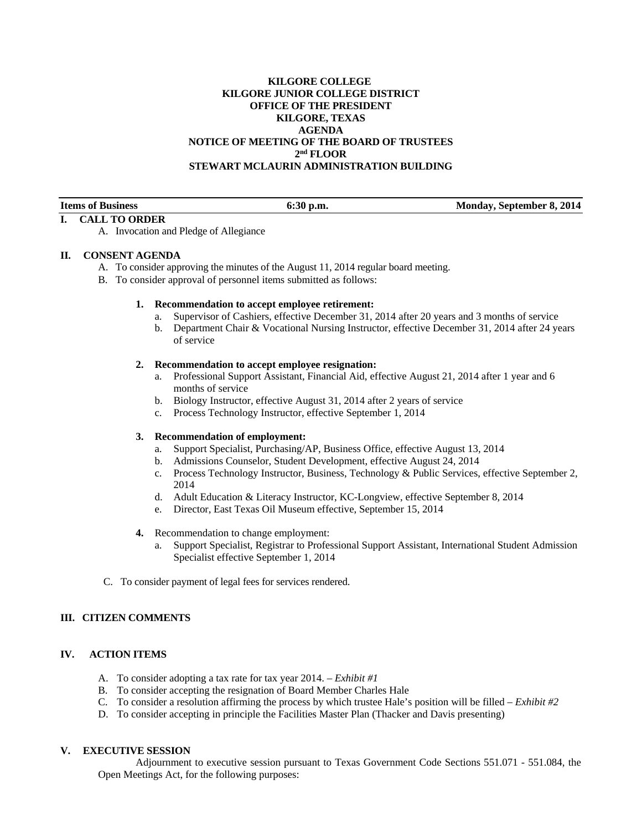# **KILGORE COLLEGE KILGORE JUNIOR COLLEGE DISTRICT OFFICE OF THE PRESIDENT KILGORE, TEXAS AGENDA NOTICE OF MEETING OF THE BOARD OF TRUSTEES 2nd FLOOR STEWART MCLAURIN ADMINISTRATION BUILDING**

| <b>Items of Business</b> | 6:30 p.m. | Monday, September 8, 2014 |
|--------------------------|-----------|---------------------------|
|                          |           |                           |

### **I. CALL TO ORDER**

A. Invocation and Pledge of Allegiance

### **II. CONSENT AGENDA**

- A. To consider approving the minutes of the August 11, 2014 regular board meeting.
- B. To consider approval of personnel items submitted as follows:

### **1. Recommendation to accept employee retirement:**

- a. Supervisor of Cashiers, effective December 31, 2014 after 20 years and 3 months of service
- b. Department Chair & Vocational Nursing Instructor, effective December 31, 2014 after 24 years of service

### **2. Recommendation to accept employee resignation:**

- a. Professional Support Assistant, Financial Aid, effective August 21, 2014 after 1 year and 6 months of service
- b. Biology Instructor, effective August 31, 2014 after 2 years of service
- c. Process Technology Instructor, effective September 1, 2014

## **3. Recommendation of employment:**

- a. Support Specialist, Purchasing/AP, Business Office, effective August 13, 2014
- b. Admissions Counselor, Student Development, effective August 24, 2014
- c. Process Technology Instructor, Business, Technology & Public Services, effective September 2, 2014
- d. Adult Education & Literacy Instructor, KC-Longview, effective September 8, 2014
- e. Director, East Texas Oil Museum effective, September 15, 2014
- **4.** Recommendation to change employment:
	- a. Support Specialist, Registrar to Professional Support Assistant, International Student Admission Specialist effective September 1, 2014
- C. To consider payment of legal fees for services rendered.

# **III. CITIZEN COMMENTS**

## **IV. ACTION ITEMS**

- A. To consider adopting a tax rate for tax year 2014. *Exhibit #1*
- B. To consider accepting the resignation of Board Member Charles Hale
- C. To consider a resolution affirming the process by which trustee Hale's position will be filled *Exhibit #2*
- D. To consider accepting in principle the Facilities Master Plan (Thacker and Davis presenting)

# **V. EXECUTIVE SESSION**

 Adjournment to executive session pursuant to Texas Government Code Sections 551.071 - 551.084, the Open Meetings Act, for the following purposes: